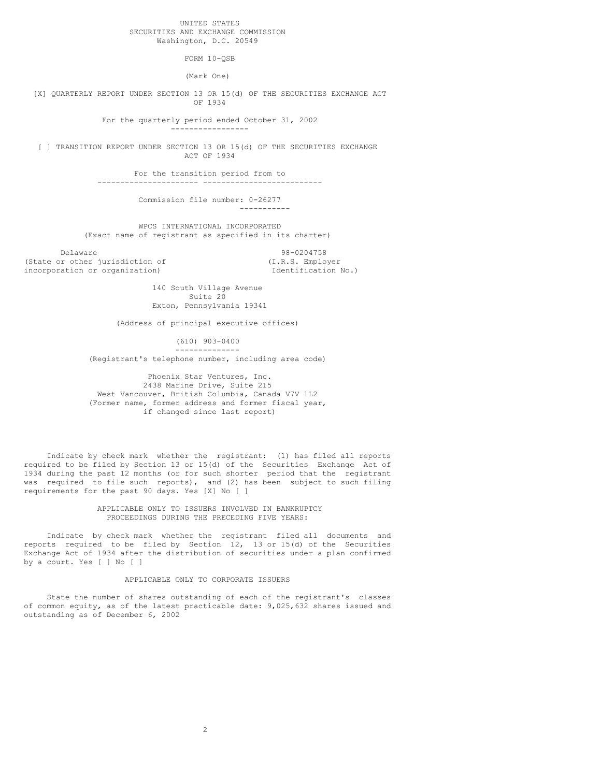## UNITED STATES SECURITIES AND EXCHANGE COMMISSION Washington, D.C. 20549

FORM 10-QSB

(Mark One)

[X] QUARTERLY REPORT UNDER SECTION 13 OR 15(d) OF THE SECURITIES EXCHANGE ACT OF 1934

> For the quarterly period ended October 31, 2002 -----------------

[ ] TRANSITION REPORT UNDER SECTION 13 OR 15(d) OF THE SECURITIES EXCHANGE ACT OF 1934

For the transition period from to

---------------------- --------------------------

Commission file number: 0-26277 -----------

WPCS INTERNATIONAL INCORPORATED (Exact name of registrant as specified in its charter)

Delaware 98-0204758<br>
Delaware 98-0204758<br>
(I.R.S. Employer (State or other jurisdiction of  $(1.R.S.$  Employer incorporation or organization)  $\qquad \qquad$  Identification No.) incorporation or organization)

140 South Village Avenue Suite 20 Exton, Pennsylvania 19341

(Address of principal executive offices)

(610) 903-0400 --------------

(Registrant's telephone number, including area code)

Phoenix Star Ventures, Inc. 2438 Marine Drive, Suite 215 West Vancouver, British Columbia, Canada V7V 1L2 (Former name, former address and former fiscal year, if changed since last report)

Indicate by check mark whether the registrant: (1) has filed all reports required to be filed by Section 13 or 15(d) of the Securities Exchange Act of 1934 during the past 12 months (or for such shorter period that the registrant was required to file such reports), and (2) has been subject to such filing requirements for the past 90 days. Yes [X] No [ ]

## APPLICABLE ONLY TO ISSUERS INVOLVED IN BANKRUPTCY PROCEEDINGS DURING THE PRECEDING FIVE YEARS:

Indicate by check mark whether the registrant filed all documents and reports required to be filed by Section 12, 13 or 15(d) of the Securities Exchange Act of 1934 after the distribution of securities under a plan confirmed by a court. Yes [ ] No [ ]

## APPLICABLE ONLY TO CORPORATE ISSUERS

State the number of shares outstanding of each of the registrant's classes of common equity, as of the latest practicable date: 9,025,632 shares issued and outstanding as of December 6, 2002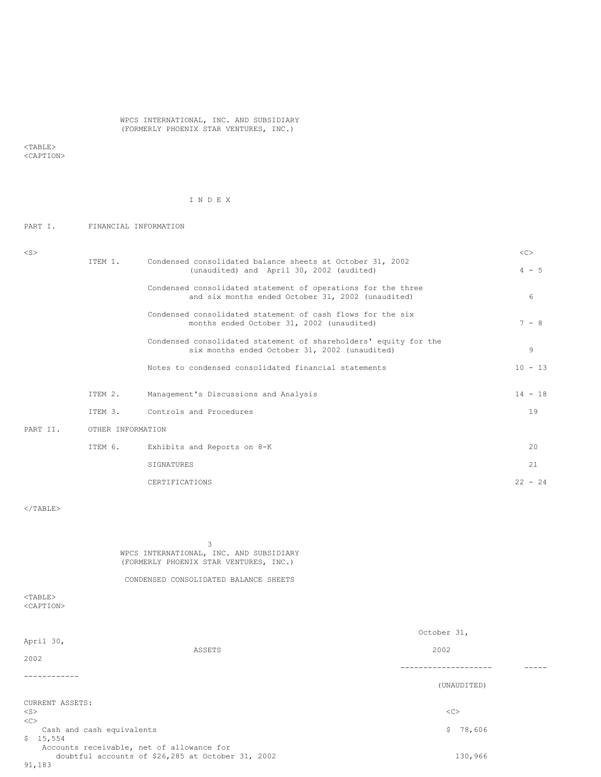## WPCS INTERNATIONAL, INC. AND SUBSIDIARY (FORMERLY PHOENIX STAR VENTURES, INC.)

 $<$ TABLE> <CAPTION>

# I N D E X

# PART I. FINANCIAL INFORMATION

| $<$ S $>$ |                   |                                                                                                                   | <<        |
|-----------|-------------------|-------------------------------------------------------------------------------------------------------------------|-----------|
|           | ITEM 1.           | Condensed consolidated balance sheets at October 31, 2002<br>(unaudited) and April 30, 2002 (audited)             | $4 - 5$   |
|           |                   | Condensed consolidated statement of operations for the three<br>and six months ended October 31, 2002 (unaudited) | 6         |
|           |                   | Condensed consolidated statement of cash flows for the six<br>months ended October 31, 2002 (unaudited)           | $7 - 8$   |
|           |                   | Condensed consolidated statement of shareholders' equity for the<br>six months ended October 31, 2002 (unaudited) | 9         |
|           |                   | Notes to condensed consolidated financial statements                                                              | $10 - 13$ |
|           | ITEM 2.           | Management's Discussions and Analysis                                                                             | $14 - 18$ |
|           | ITEM 3.           | Controls and Procedures                                                                                           | 19        |
| PART II.  | OTHER INFORMATION |                                                                                                                   |           |
|           | ITEM 6.           | Exhibits and Reports on 8-K                                                                                       | 20        |
|           |                   | SIGNATURES                                                                                                        | 21        |
|           |                   | CERTIFICATIONS                                                                                                    | $22 - 24$ |

 $<$ /TABLE>

3 WPCS INTERNATIONAL, INC. AND SUBSIDIARY (FORMERLY PHOENIX STAR VENTURES, INC.)

CONDENSED CONSOLIDATED BALANCE SHEETS

## $<$ TABLE> <CAPTION>

| April 30,                                                                                      | October 31, |  |  |
|------------------------------------------------------------------------------------------------|-------------|--|--|
| ASSETS                                                                                         | 2002        |  |  |
| 2002                                                                                           |             |  |  |
|                                                                                                |             |  |  |
|                                                                                                | (UNAUDITED) |  |  |
| CURRENT ASSETS:                                                                                |             |  |  |
| $<$ S $>$                                                                                      | <<          |  |  |
| <<                                                                                             |             |  |  |
| Cash and cash equivalents                                                                      | \$78,606    |  |  |
| \$15,554                                                                                       |             |  |  |
| Accounts receivable, net of allowance for<br>doubtful accounts of \$26,285 at October 31, 2002 | 130,966     |  |  |
| 91,183                                                                                         |             |  |  |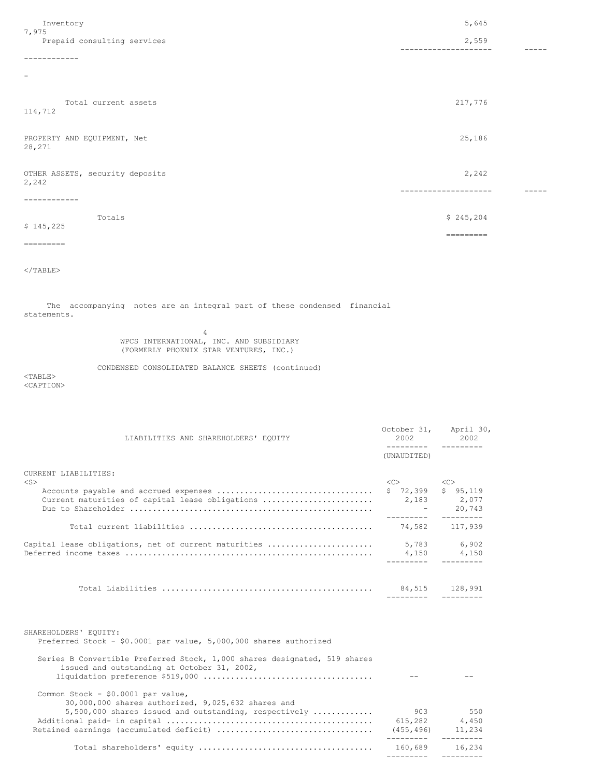| Inventory<br>7,975                       | 5,645              |  |
|------------------------------------------|--------------------|--|
| Prepaid consulting services              | 2,559<br>--------- |  |
| .                                        |                    |  |
| $\overline{\phantom{a}}$                 |                    |  |
| Total current assets<br>114,712          | 217,776            |  |
| PROPERTY AND EQUIPMENT, Net<br>28,271    | 25,186             |  |
| OTHER ASSETS, security deposits<br>2,242 | 2,242              |  |
|                                          |                    |  |
| Totals<br>\$145,225                      | \$245, 204         |  |
| =========                                | =========          |  |

 $\langle$ /TABLE>

The accompanying notes are an integral part of these condensed financial statements.

> 4 WPCS INTERNATIONAL, INC. AND SUBSIDIARY (FORMERLY PHOENIX STAR VENTURES, INC.)

CONDENSED CONSOLIDATED BALANCE SHEETS (continued)

<TABLE> <CAPTION>

October 31, April 30,<br>2002 2002 LIABILITIES AND SHAREHOLDERS' EQUITY 2002 --------- --------- (UNAUDITED) CURRENT LIABILITIES: <S> <C> <C> Accounts payable and accrued expenses .................................. \$ 72,399 \$ 95,119 Current maturities of capital lease obligations ......................... Due to Shareholder ..................................................... - 20,743 --------- --------<br>-------- --------<br>74,582 117,939 Total current liabilities ........................................ 74,582 117,939 Capital lease obligations, net of current maturities ....................... 5,783 6,902 Deferred income taxes ...................................................... 4,150 4,150 --------- --------- Total Liabilities .............................................. 84,515 128,991 --------- --------- SHAREHOLDERS' EQUITY: Preferred Stock - \$0.0001 par value, 5,000,000 shares authorized Series B Convertible Preferred Stock, 1,000 shares designated, 519 shares issued and outstanding at October 31, 2002, liquidation preference \$519,000 ..................................... -- -- Common Stock - \$0.0001 par value, 30,000,000 shares authorized, 9,025,632 shares and 5,500,000 shares issued and outstanding, respectively ............. 903 550 Additional paid- in capital ............................................. 615,282 4,450 Retained earnings (accumulated deficit) .................................. (455,496) 11,234 --------- --------- Total shareholders' equity ...................................... 160,689 16,234

--------- ---------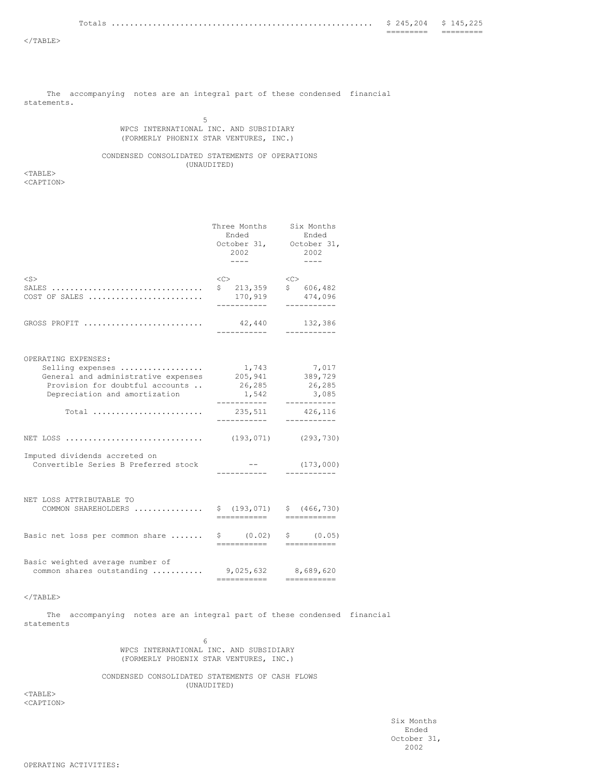|        | __________<br>__________ | ___<br>__________ |
|--------|--------------------------|-------------------|
| Totals | $24 -$                   | 45                |

The accompanying notes are an integral part of these condensed financial statements.

## 5 WPCS INTERNATIONAL INC. AND SUBSIDIARY (FORMERLY PHOENIX STAR VENTURES, INC.)

CONDENSED CONSOLIDATED STATEMENTS OF OPERATIONS (UNAUDITED)

<TABLE> <CAPTION>

|                                                                                                                                                                                                                                         | Three Months<br>Ended<br>2002<br>$- - - - -$                                               | Six Months<br>Ended<br>October 31, October 31,<br>2002<br>$- - - -$                                     |
|-----------------------------------------------------------------------------------------------------------------------------------------------------------------------------------------------------------------------------------------|--------------------------------------------------------------------------------------------|---------------------------------------------------------------------------------------------------------|
| $<$ S $>$<br>$SALES$<br>COST OF SALES                                                                                                                                                                                                   | <<<br>\$213,359<br>170,919                                                                 | <<<br>\$606, 482<br>474,096                                                                             |
| GROSS PROFIT                                                                                                                                                                                                                            | 42,440<br>----------                                                                       | 132,386<br>-----------                                                                                  |
| OPERATING EXPENSES:<br>Selling expenses<br>General and administrative expenses<br>Provision for doubtful accounts<br>Depreciation and amortization<br>NET LOSS<br>Imputed dividends accreted on<br>Convertible Series B Preferred stock | 1,743<br>205,941<br>26,285<br>1,542<br>------------<br>235,511<br>-----------<br>(193,071) | 7,017<br>389,729<br>26,285<br>3,085<br>-----------<br>426,116<br>-----------<br>(293, 730)<br>(173,000) |
| NET LOSS ATTRIBUTABLE TO<br>COMMON SHAREHOLDERS                                                                                                                                                                                         | \$(193, 071)<br>===========                                                                | \$ (466, 730)<br>___________                                                                            |
| Basic net loss per common share                                                                                                                                                                                                         | \$ (0.02)<br>===========                                                                   | \$ (0.05)<br>===========                                                                                |
| Basic weighted average number of<br>common shares outstanding                                                                                                                                                                           | 9,025,632<br>===========                                                                   | 8,689,620<br>===========                                                                                |

#### $<$ /TABLE $>$

The accompanying notes are an integral part of these condensed financial statements

> 6 WPCS INTERNATIONAL INC. AND SUBSIDIARY (FORMERLY PHOENIX STAR VENTURES, INC.)

CONDENSED CONSOLIDATED STATEMENTS OF CASH FLOWS (UNAUDITED)

<TABLE> <CAPTION>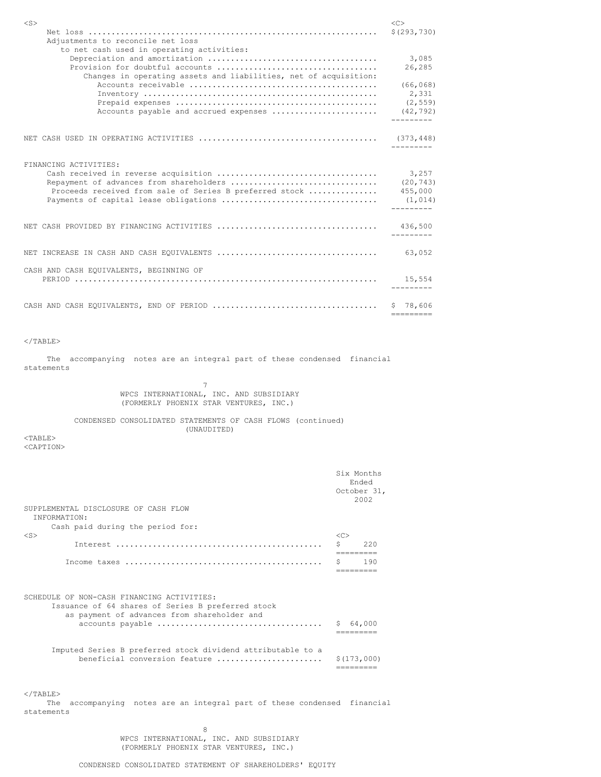| $<$ S $>$                                                        | <<                  |
|------------------------------------------------------------------|---------------------|
|                                                                  | \$(293, 730)        |
| Adjustments to reconcile net loss                                |                     |
| to net cash used in operating activities:                        |                     |
|                                                                  | 3,085               |
|                                                                  | 26,285              |
| Changes in operating assets and liabilities, net of acquisition: |                     |
|                                                                  | (66, 068)           |
|                                                                  | 2,331               |
|                                                                  | (2, 559)            |
| Accounts payable and accrued expenses                            | (42, 792)           |
|                                                                  | ---------           |
|                                                                  |                     |
|                                                                  | $- - - - - - - - -$ |
|                                                                  |                     |
| FINANCING ACTIVITIES:                                            |                     |
|                                                                  | 3,257               |
| Repayment of advances from shareholders                          | (20, 743)           |
| Proceeds received from sale of Series B preferred stock          | 455,000             |
|                                                                  | (1, 014)            |
|                                                                  |                     |
|                                                                  |                     |
|                                                                  | ---------           |
|                                                                  | 63,052              |
|                                                                  |                     |
| CASH AND CASH EOUIVALENTS, BEGINNING OF                          |                     |
|                                                                  | 15,554              |
|                                                                  |                     |
|                                                                  | \$78,606            |
|                                                                  | =========           |

 $<$ /TABLE>

The accompanying notes are an integral part of these condensed financial statements

> 7 WPCS INTERNATIONAL, INC. AND SUBSIDIARY (FORMERLY PHOENIX STAR VENTURES, INC.)

CONDENSED CONSOLIDATED STATEMENTS OF CASH FLOWS (continued) (UNAUDITED)

<TABLE> <CAPTION>

| SUPPLEMENTAL DISCLOSURE OF CASH FLOW                                                                                                                                                                          |                       | Six Months<br>Ended<br>October 31,<br>2002 |
|---------------------------------------------------------------------------------------------------------------------------------------------------------------------------------------------------------------|-----------------------|--------------------------------------------|
| INFORMATION:                                                                                                                                                                                                  |                       |                                            |
| Cash paid during the period for:<br>$<$ S $>$                                                                                                                                                                 | < <sub></sub>         |                                            |
|                                                                                                                                                                                                               | Š.<br>=========       | 220                                        |
|                                                                                                                                                                                                               |                       | 190                                        |
| SCHEDULE OF NON-CASH FINANCING ACTIVITIES:<br>Issuance of 64 shares of Series B preferred stock<br>as payment of advances from shareholder and<br>Imputed Series B preferred stock dividend attributable to a | \$64,000<br>_________ |                                            |
| beneficial conversion feature<br>$\langle$ /TABLE>                                                                                                                                                            | ---------             | \$(173,000)                                |
| accompanying notes are an integral part of these condensed financial<br>The<br>statements                                                                                                                     |                       |                                            |

8 WPCS INTERNATIONAL, INC. AND SUBSIDIARY (FORMERLY PHOENIX STAR VENTURES, INC.)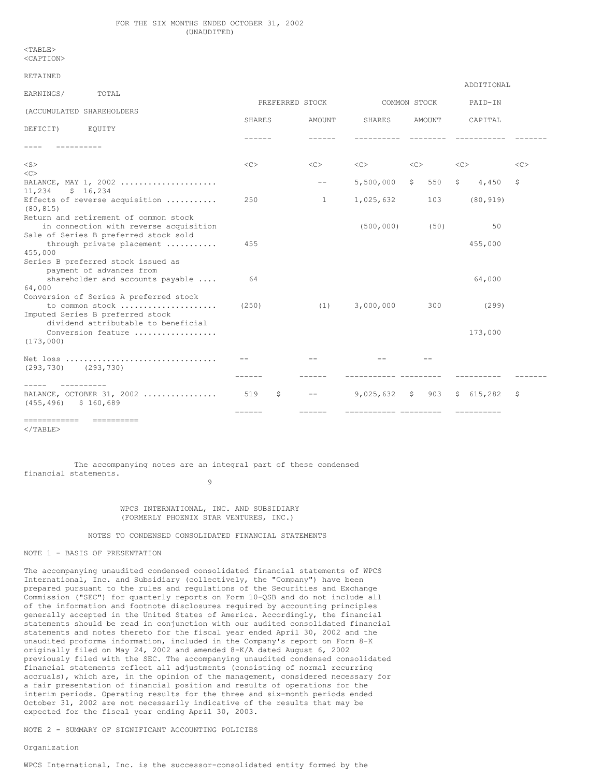<TABLE> <CAPTION>

| RETAINED                                                                                                                 |                                  |                 |                                          |                  | ADDITIONAL               |    |
|--------------------------------------------------------------------------------------------------------------------------|----------------------------------|-----------------|------------------------------------------|------------------|--------------------------|----|
| EARNINGS/<br>TOTAL                                                                                                       |                                  | PREFERRED STOCK |                                          | COMMON STOCK     | PAID-IN                  |    |
| (ACCUMULATED SHAREHOLDERS                                                                                                | <b>SHARES</b>                    | AMOUNT          | SHARES                                   | AMOUNT           | CAPITAL                  |    |
| DEFICIT)<br>EOUITY                                                                                                       |                                  |                 |                                          |                  |                          |    |
|                                                                                                                          |                                  |                 |                                          |                  |                          |    |
| $<$ S $>$                                                                                                                | <<                               | $<$ C>          | <<                                       | $<<$ $<$ $<$ $>$ | <<                       | << |
| $<\infty$                                                                                                                |                                  |                 |                                          |                  |                          |    |
| BALANCE, MAY 1, 2002<br>\$16, 234<br>11,234                                                                              |                                  | $- -$           | 5,500,000                                | 550<br>S.        | $\mathsf{S}$<br>4,450    | \$ |
| Effects of reverse acquisition<br>(80, 815)                                                                              | 250                              | 1               | 1,025,632                                | 103              | (80, 919)                |    |
| Return and retirement of common stock<br>in connection with reverse acquisition<br>Sale of Series B preferred stock sold |                                  |                 | (500, 000)                               | (50)             | 50                       |    |
| through private placement                                                                                                | 455                              |                 |                                          |                  | 455,000                  |    |
| 455,000<br>Series B preferred stock issued as<br>payment of advances from                                                | 64                               |                 |                                          |                  |                          |    |
| shareholder and accounts payable<br>64,000                                                                               |                                  |                 |                                          |                  | 64,000                   |    |
| Conversion of Series A preferred stock<br>to common stock                                                                | (250)                            | (1)             | 3,000,000                                | 300              | (299)                    |    |
| Imputed Series B preferred stock<br>dividend attributable to beneficial<br>Conversion feature<br>(173,000)               |                                  |                 |                                          |                  | 173,000                  |    |
| $(293, 730)$ $(293, 730)$                                                                                                |                                  |                 |                                          |                  |                          |    |
| $- - - - -$<br>----------<br>BALANCE, OCTOBER 31, 2002<br>$(455, 496)$ \$ 160,689                                        | 519<br>Ş.<br>$=$ $=$ $=$ $=$ $=$ | ======          | $9,025,632$ \$<br>------------ --------- | 903              | \$615, 282<br>========== | \$ |
| ========================                                                                                                 |                                  |                 |                                          |                  |                          |    |

 $\langle$ /TABLE>

The accompanying notes are an integral part of these condensed financial statements.

## 9

## WPCS INTERNATIONAL, INC. AND SUBSIDIARY (FORMERLY PHOENIX STAR VENTURES, INC.)

#### NOTES TO CONDENSED CONSOLIDATED FINANCIAL STATEMENTS

## NOTE 1 - BASIS OF PRESENTATION

The accompanying unaudited condensed consolidated financial statements of WPCS International, Inc. and Subsidiary (collectively, the "Company") have been prepared pursuant to the rules and regulations of the Securities and Exchange Commission ("SEC") for quarterly reports on Form 10-QSB and do not include all of the information and footnote disclosures required by accounting principles generally accepted in the United States of America. Accordingly, the financial statements should be read in conjunction with our audited consolidated financial statements and notes thereto for the fiscal year ended April 30, 2002 and the unaudited proforma information, included in the Company's report on Form 8-K originally filed on May 24, 2002 and amended 8-K/A dated August 6, 2002 previously filed with the SEC. The accompanying unaudited condensed consolidated financial statements reflect all adjustments (consisting of normal recurring accruals), which are, in the opinion of the management, considered necessary for a fair presentation of financial position and results of operations for the interim periods. Operating results for the three and six-month periods ended October 31, 2002 are not necessarily indicative of the results that may be expected for the fiscal year ending April 30, 2003.

NOTE 2 - SUMMARY OF SIGNIFICANT ACCOUNTING POLICIES

#### Organization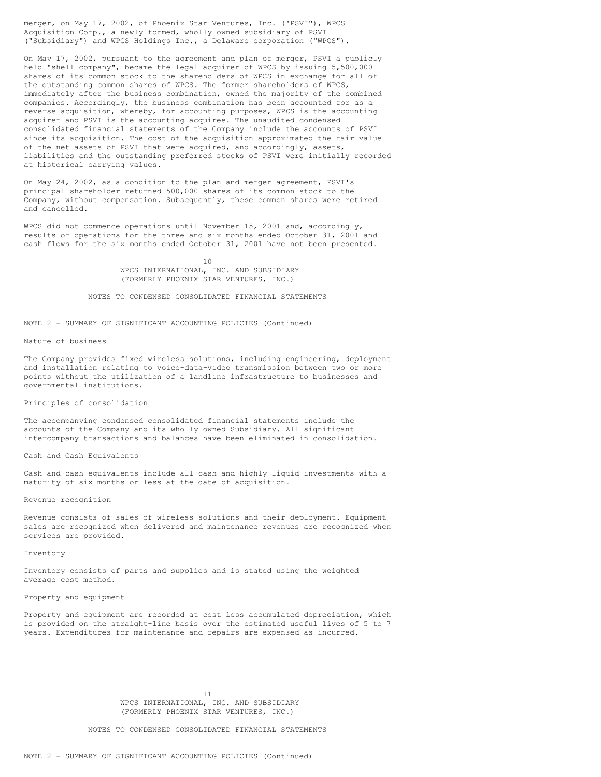merger, on May 17, 2002, of Phoenix Star Ventures, Inc. ("PSVI"), WPCS Acquisition Corp., a newly formed, wholly owned subsidiary of PSVI ("Subsidiary") and WPCS Holdings Inc., a Delaware corporation ("WPCS").

On May 17, 2002, pursuant to the agreement and plan of merger, PSVI a publicly held "shell company", became the legal acquirer of WPCS by issuing 5,500,000 shares of its common stock to the shareholders of WPCS in exchange for all of the outstanding common shares of WPCS. The former shareholders of WPCS, immediately after the business combination, owned the majority of the combined companies. Accordingly, the business combination has been accounted for as a reverse acquisition, whereby, for accounting purposes, WPCS is the accounting acquirer and PSVI is the accounting acquiree. The unaudited condensed consolidated financial statements of the Company include the accounts of PSVI since its acquisition. The cost of the acquisition approximated the fair value of the net assets of PSVI that were acquired, and accordingly, assets, liabilities and the outstanding preferred stocks of PSVI were initially recorded at historical carrying values.

On May 24, 2002, as a condition to the plan and merger agreement, PSVI's principal shareholder returned 500,000 shares of its common stock to the Company, without compensation. Subsequently, these common shares were retired and cancelled.

WPCS did not commence operations until November 15, 2001 and, accordingly, results of operations for the three and six months ended October 31, 2001 and cash flows for the six months ended October 31, 2001 have not been presented.

> 10 WPCS INTERNATIONAL, INC. AND SUBSIDIARY (FORMERLY PHOENIX STAR VENTURES, INC.)

NOTES TO CONDENSED CONSOLIDATED FINANCIAL STATEMENTS

NOTE 2 - SUMMARY OF SIGNIFICANT ACCOUNTING POLICIES (Continued)

## Nature of business

The Company provides fixed wireless solutions, including engineering, deployment and installation relating to voice-data-video transmission between two or more points without the utilization of a landline infrastructure to businesses and governmental institutions.

Principles of consolidation

The accompanying condensed consolidated financial statements include the accounts of the Company and its wholly owned Subsidiary. All significant intercompany transactions and balances have been eliminated in consolidation.

Cash and Cash Equivalents

Cash and cash equivalents include all cash and highly liquid investments with a maturity of six months or less at the date of acquisition.

Revenue recognition

Revenue consists of sales of wireless solutions and their deployment. Equipment sales are recognized when delivered and maintenance revenues are recognized when services are provided.

Inventory

Inventory consists of parts and supplies and is stated using the weighted average cost method.

## Property and equipment

Property and equipment are recorded at cost less accumulated depreciation, which is provided on the straight-line basis over the estimated useful lives of 5 to 7 years. Expenditures for maintenance and repairs are expensed as incurred.

> 11 WPCS INTERNATIONAL, INC. AND SUBSIDIARY (FORMERLY PHOENIX STAR VENTURES, INC.)

NOTES TO CONDENSED CONSOLIDATED FINANCIAL STATEMENTS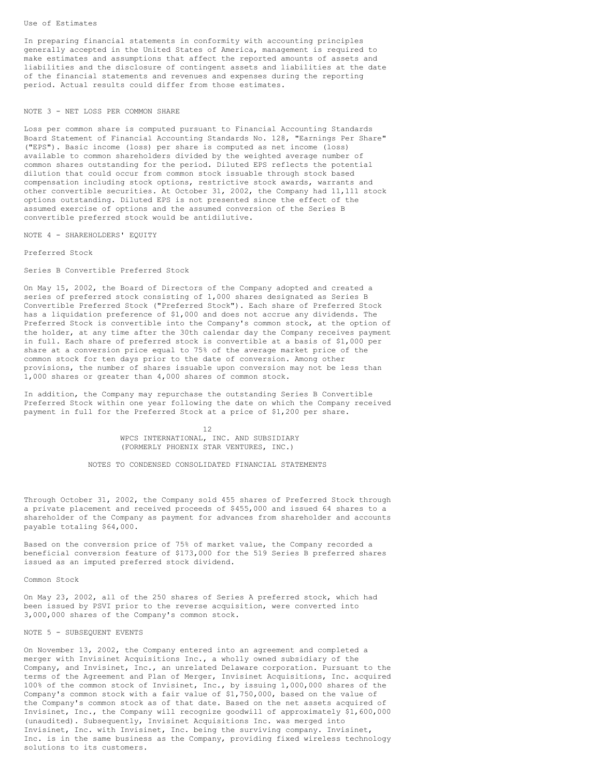In preparing financial statements in conformity with accounting principles generally accepted in the United States of America, management is required to make estimates and assumptions that affect the reported amounts of assets and liabilities and the disclosure of contingent assets and liabilities at the date of the financial statements and revenues and expenses during the reporting period. Actual results could differ from those estimates.

## NOTE 3 - NET LOSS PER COMMON SHARE

Loss per common share is computed pursuant to Financial Accounting Standards Board Statement of Financial Accounting Standards No. 128, "Earnings Per Share" ("EPS"). Basic income (loss) per share is computed as net income (loss) available to common shareholders divided by the weighted average number of common shares outstanding for the period. Diluted EPS reflects the potential dilution that could occur from common stock issuable through stock based compensation including stock options, restrictive stock awards, warrants and other convertible securities. At October 31, 2002, the Company had 11,111 stock options outstanding. Diluted EPS is not presented since the effect of the assumed exercise of options and the assumed conversion of the Series B convertible preferred stock would be antidilutive.

NOTE 4 - SHAREHOLDERS' EQUITY

Preferred Stock

Series B Convertible Preferred Stock

On May 15, 2002, the Board of Directors of the Company adopted and created a series of preferred stock consisting of 1,000 shares designated as Series B Convertible Preferred Stock ("Preferred Stock"). Each share of Preferred Stock has a liquidation preference of \$1,000 and does not accrue any dividends. The Preferred Stock is convertible into the Company's common stock, at the option of the holder, at any time after the 30th calendar day the Company receives payment in full. Each share of preferred stock is convertible at a basis of \$1,000 per share at a conversion price equal to 75% of the average market price of the common stock for ten days prior to the date of conversion. Among other provisions, the number of shares issuable upon conversion may not be less than 1,000 shares or greater than 4,000 shares of common stock.

In addition, the Company may repurchase the outstanding Series B Convertible Preferred Stock within one year following the date on which the Company received payment in full for the Preferred Stock at a price of \$1,200 per share.

> 12 WPCS INTERNATIONAL, INC. AND SUBSIDIARY (FORMERLY PHOENIX STAR VENTURES, INC.)

NOTES TO CONDENSED CONSOLIDATED FINANCIAL STATEMENTS

Through October 31, 2002, the Company sold 455 shares of Preferred Stock through a private placement and received proceeds of \$455,000 and issued 64 shares to a shareholder of the Company as payment for advances from shareholder and accounts payable totaling \$64,000.

Based on the conversion price of 75% of market value, the Company recorded a beneficial conversion feature of \$173,000 for the 519 Series B preferred shares issued as an imputed preferred stock dividend.

Common Stock

On May 23, 2002, all of the 250 shares of Series A preferred stock, which had been issued by PSVI prior to the reverse acquisition, were converted into 3,000,000 shares of the Company's common stock.

## NOTE 5 - SUBSEQUENT EVENTS

On November 13, 2002, the Company entered into an agreement and completed a merger with Invisinet Acquisitions Inc., a wholly owned subsidiary of the Company, and Invisinet, Inc., an unrelated Delaware corporation. Pursuant to the terms of the Agreement and Plan of Merger, Invisinet Acquisitions, Inc. acquired 100% of the common stock of Invisinet, Inc., by issuing 1,000,000 shares of the Company's common stock with a fair value of \$1,750,000, based on the value of the Company's common stock as of that date. Based on the net assets acquired of Invisinet, Inc., the Company will recognize goodwill of approximately \$1,600,000 (unaudited). Subsequently, Invisinet Acquisitions Inc. was merged into Invisinet, Inc. with Invisinet, Inc. being the surviving company. Invisinet, Inc. is in the same business as the Company, providing fixed wireless technology solutions to its customers.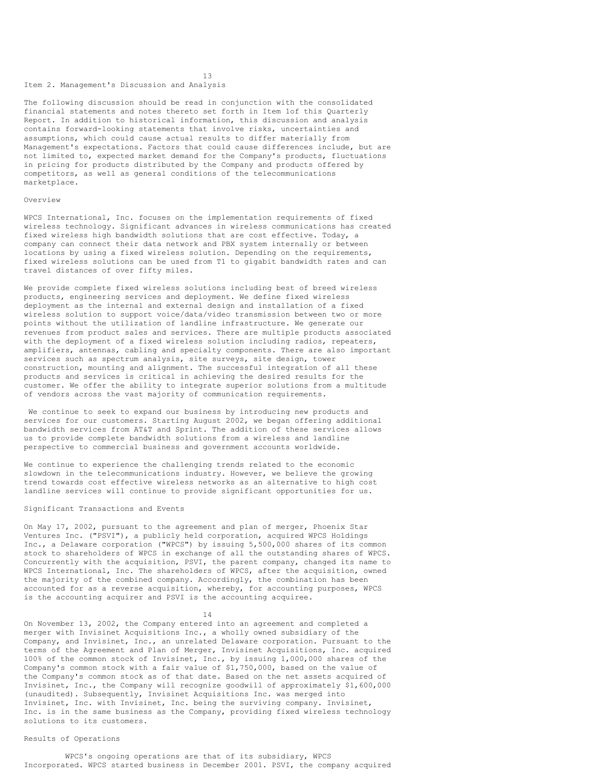## Item 2. Management's Discussion and Analysis

The following discussion should be read in conjunction with the consolidated financial statements and notes thereto set forth in Item 1of this Quarterly Report. In addition to historical information, this discussion and analysis contains forward-looking statements that involve risks, uncertainties and assumptions, which could cause actual results to differ materially from Management's expectations. Factors that could cause differences include, but are not limited to, expected market demand for the Company's products, fluctuations in pricing for products distributed by the Company and products offered by competitors, as well as general conditions of the telecommunications marketplace.

13

#### Overview

WPCS International, Inc. focuses on the implementation requirements of fixed wireless technology. Significant advances in wireless communications has created fixed wireless high bandwidth solutions that are cost effective. Today, a company can connect their data network and PBX system internally or between locations by using a fixed wireless solution. Depending on the requirements, fixed wireless solutions can be used from T1 to gigabit bandwidth rates and can travel distances of over fifty miles.

We provide complete fixed wireless solutions including best of breed wireless products, engineering services and deployment. We define fixed wireless deployment as the internal and external design and installation of a fixed wireless solution to support voice/data/video transmission between two or more points without the utilization of landline infrastructure. We generate our revenues from product sales and services. There are multiple products associated with the deployment of a fixed wireless solution including radios, repeaters, amplifiers, antennas, cabling and specialty components. There are also important services such as spectrum analysis, site surveys, site design, tower construction, mounting and alignment. The successful integration of all these products and services is critical in achieving the desired results for the customer. We offer the ability to integrate superior solutions from a multitude of vendors across the vast majority of communication requirements.

We continue to seek to expand our business by introducing new products and services for our customers. Starting August 2002, we began offering additional bandwidth services from AT&T and Sprint. The addition of these services allows us to provide complete bandwidth solutions from a wireless and landline perspective to commercial business and government accounts worldwide.

We continue to experience the challenging trends related to the economic slowdown in the telecommunications industry. However, we believe the growing trend towards cost effective wireless networks as an alternative to high cost landline services will continue to provide significant opportunities for us.

#### Significant Transactions and Events

On May 17, 2002, pursuant to the agreement and plan of merger, Phoenix Star Ventures Inc. ("PSVI"), a publicly held corporation, acquired WPCS Holdings Inc., a Delaware corporation ("WPCS") by issuing 5,500,000 shares of its common stock to shareholders of WPCS in exchange of all the outstanding shares of WPCS. Concurrently with the acquisition, PSVI, the parent company, changed its name to WPCS International, Inc. The shareholders of WPCS, after the acquisition, owned the majority of the combined company. Accordingly, the combination has been accounted for as a reverse acquisition, whereby, for accounting purposes, WPCS is the accounting acquirer and PSVI is the accounting acquiree.

14

On November 13, 2002, the Company entered into an agreement and completed a merger with Invisinet Acquisitions Inc., a wholly owned subsidiary of the Company, and Invisinet, Inc., an unrelated Delaware corporation. Pursuant to the terms of the Agreement and Plan of Merger, Invisinet Acquisitions, Inc. acquired 100% of the common stock of Invisinet, Inc., by issuing 1,000,000 shares of the Company's common stock with a fair value of \$1,750,000, based on the value of the Company's common stock as of that date. Based on the net assets acquired of Invisinet, Inc., the Company will recognize goodwill of approximately \$1,600,000 (unaudited). Subsequently, Invisinet Acquisitions Inc. was merged into Invisinet, Inc. with Invisinet, Inc. being the surviving company. Invisinet, Inc. is in the same business as the Company, providing fixed wireless technology solutions to its customers.

## Results of Operations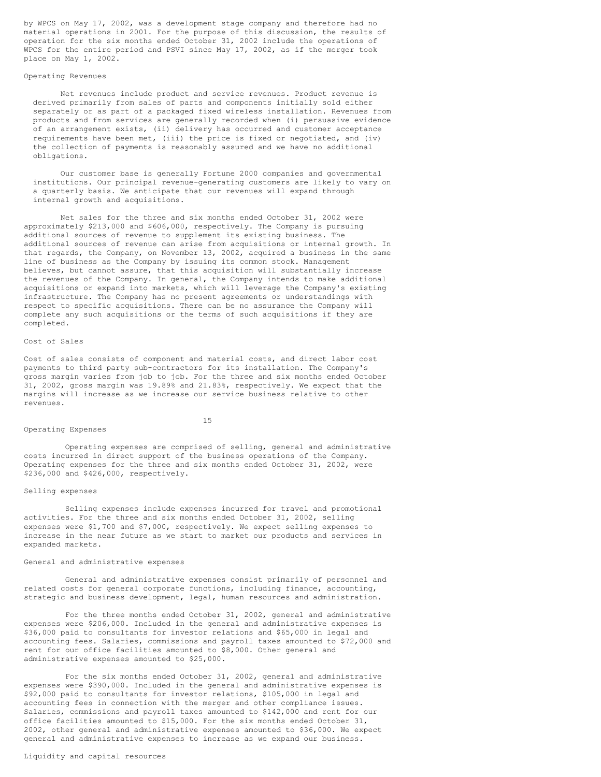by WPCS on May 17, 2002, was a development stage company and therefore had no material operations in 2001. For the purpose of this discussion, the results of operation for the six months ended October 31, 2002 include the operations of WPCS for the entire period and PSVI since May 17, 2002, as if the merger took place on May 1, 2002.

#### Operating Revenues

Net revenues include product and service revenues. Product revenue is derived primarily from sales of parts and components initially sold either separately or as part of a packaged fixed wireless installation. Revenues from products and from services are generally recorded when (i) persuasive evidence of an arrangement exists, (ii) delivery has occurred and customer acceptance requirements have been met, (iii) the price is fixed or negotiated, and (iv) the collection of payments is reasonably assured and we have no additional obligations.

Our customer base is generally Fortune 2000 companies and governmental institutions. Our principal revenue-generating customers are likely to vary on a quarterly basis. We anticipate that our revenues will expand through internal growth and acquisitions.

Net sales for the three and six months ended October 31, 2002 were approximately \$213,000 and \$606,000, respectively. The Company is pursuing additional sources of revenue to supplement its existing business. The additional sources of revenue can arise from acquisitions or internal growth. In that regards, the Company, on November 13, 2002, acquired a business in the same line of business as the Company by issuing its common stock. Management believes, but cannot assure, that this acquisition will substantially increase the revenues of the Company. In general, the Company intends to make additional acquisitions or expand into markets, which will leverage the Company's existing infrastructure. The Company has no present agreements or understandings with respect to specific acquisitions. There can be no assurance the Company will complete any such acquisitions or the terms of such acquisitions if they are completed.

## Cost of Sales

Cost of sales consists of component and material costs, and direct labor cost payments to third party sub-contractors for its installation. The Company's gross margin varies from job to job. For the three and six months ended October 31, 2002, gross margin was 19.89% and 21.83%, respectively. We expect that the margins will increase as we increase our service business relative to other revenues.

## 15

Operating expenses are comprised of selling, general and administrative costs incurred in direct support of the business operations of the Company. Operating expenses for the three and six months ended October 31, 2002, were \$236,000 and \$426,000, respectively.

#### Selling expenses

Operating Expenses

Selling expenses include expenses incurred for travel and promotional activities. For the three and six months ended October 31, 2002, selling expenses were \$1,700 and \$7,000, respectively. We expect selling expenses to increase in the near future as we start to market our products and services in expanded markets.

## General and administrative expenses

General and administrative expenses consist primarily of personnel and related costs for general corporate functions, including finance, accounting, strategic and business development, legal, human resources and administration.

For the three months ended October 31, 2002, general and administrative expenses were \$206,000. Included in the general and administrative expenses is \$36,000 paid to consultants for investor relations and \$65,000 in legal and accounting fees. Salaries, commissions and payroll taxes amounted to \$72,000 and rent for our office facilities amounted to \$8,000. Other general and administrative expenses amounted to \$25,000.

For the six months ended October 31, 2002, general and administrative expenses were \$390,000. Included in the general and administrative expenses is \$92,000 paid to consultants for investor relations, \$105,000 in legal and accounting fees in connection with the merger and other compliance issues. Salaries, commissions and payroll taxes amounted to \$142,000 and rent for our office facilities amounted to \$15,000. For the six months ended October 31, 2002, other general and administrative expenses amounted to \$36,000. We expect general and administrative expenses to increase as we expand our business.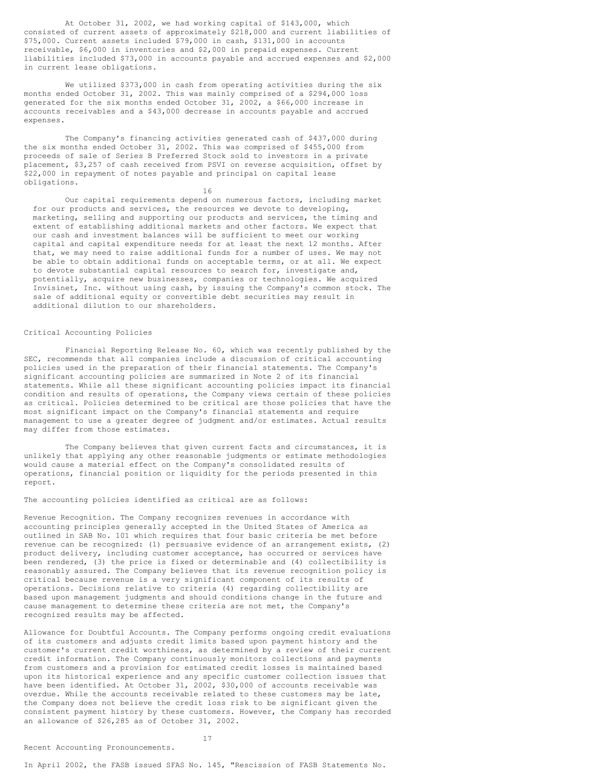At October 31, 2002, we had working capital of \$143,000, which consisted of current assets of approximately \$218,000 and current liabilities of \$75,000. Current assets included \$79,000 in cash, \$131,000 in accounts receivable, \$6,000 in inventories and \$2,000 in prepaid expenses. Current liabilities included \$73,000 in accounts payable and accrued expenses and \$2,000 in current lease obligations.

We utilized \$373,000 in cash from operating activities during the six months ended October 31, 2002. This was mainly comprised of a \$294,000 loss generated for the six months ended October 31, 2002, a \$66,000 increase in accounts receivables and a \$43,000 decrease in accounts payable and accrued expenses.

The Company's financing activities generated cash of \$437,000 during the six months ended October 31, 2002. This was comprised of \$455,000 from proceeds of sale of Series B Preferred Stock sold to investors in a private placement, \$3,257 of cash received from PSVI on reverse acquisition, offset by \$22,000 in repayment of notes payable and principal on capital lease obligations.

16

Our capital requirements depend on numerous factors, including market for our products and services, the resources we devote to developing, marketing, selling and supporting our products and services, the timing and extent of establishing additional markets and other factors. We expect that our cash and investment balances will be sufficient to meet our working capital and capital expenditure needs for at least the next 12 months. After that, we may need to raise additional funds for a number of uses. We may not be able to obtain additional funds on acceptable terms, or at all. We expect to devote substantial capital resources to search for, investigate and, potentially, acquire new businesses, companies or technologies. We acquired Invisinet, Inc. without using cash, by issuing the Company's common stock. The sale of additional equity or convertible debt securities may result in additional dilution to our shareholders.

## Critical Accounting Policies

Financial Reporting Release No. 60, which was recently published by the SEC, recommends that all companies include a discussion of critical accounting policies used in the preparation of their financial statements. The Company's significant accounting policies are summarized in Note 2 of its financial statements. While all these significant accounting policies impact its financial condition and results of operations, the Company views certain of these policies as critical. Policies determined to be critical are those policies that have the most significant impact on the Company's financial statements and require management to use a greater degree of judgment and/or estimates. Actual results may differ from those estimates.

The Company believes that given current facts and circumstances, it is unlikely that applying any other reasonable judgments or estimate methodologies would cause a material effect on the Company's consolidated results of operations, financial position or liquidity for the periods presented in this report.

## The accounting policies identified as critical are as follows:

Revenue Recognition. The Company recognizes revenues in accordance with accounting principles generally accepted in the United States of America as outlined in SAB No. 101 which requires that four basic criteria be met before revenue can be recognized: (1) persuasive evidence of an arrangement exists, (2) product delivery, including customer acceptance, has occurred or services have been rendered, (3) the price is fixed or determinable and (4) collectibility is reasonably assured. The Company believes that its revenue recognition policy is critical because revenue is a very significant component of its results of operations. Decisions relative to criteria (4) regarding collectibility are based upon management judgments and should conditions change in the future and cause management to determine these criteria are not met, the Company's recognized results may be affected.

Allowance for Doubtful Accounts. The Company performs ongoing credit evaluations of its customers and adjusts credit limits based upon payment history and the customer's current credit worthiness, as determined by a review of their current credit information. The Company continuously monitors collections and payments from customers and a provision for estimated credit losses is maintained based upon its historical experience and any specific customer collection issues that have been identified. At October 31, 2002, \$30,000 of accounts receivable was overdue. While the accounts receivable related to these customers may be late, the Company does not believe the credit loss risk to be significant given the consistent payment history by these customers. However, the Company has recorded an allowance of \$26,285 as of October 31, 2002.

17

In April 2002, the FASB issued SFAS No. 145, "Rescission of FASB Statements No.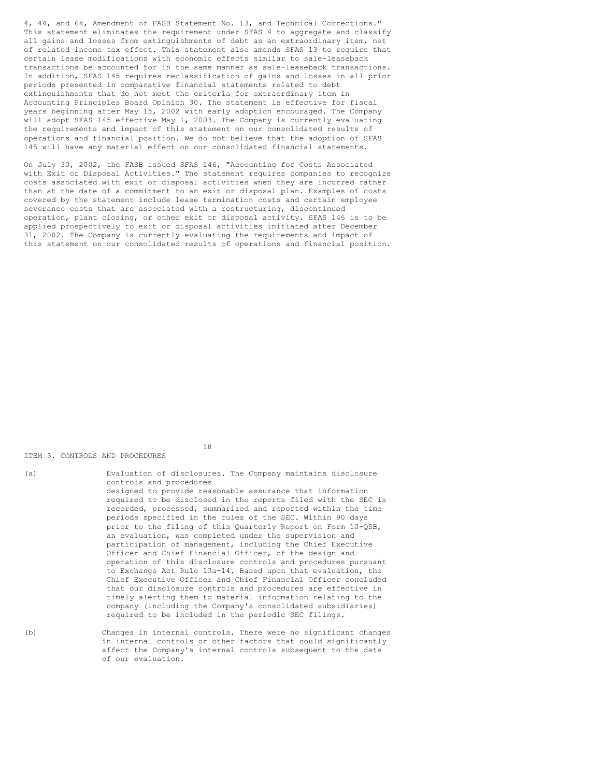4, 44, and 64, Amendment of FASB Statement No. 13, and Technical Corrections." This statement eliminates the requirement under SFAS 4 to aggregate and classify all gains and losses from extinguishments of debt as an extraordinary item, net of related income tax effect. This statement also amends SFAS 13 to require that certain lease modifications with economic effects similar to sale-leaseback transactions be accounted for in the same manner as sale-leaseback transactions. In addition, SFAS 145 requires reclassification of gains and losses in all prior periods presented in comparative financial statements related to debt extinguishments that do not meet the criteria for extraordinary item in Accounting Principles Board Opinion 30. The statement is effective for fiscal years beginning after May 15, 2002 with early adoption encouraged. The Company will adopt SFAS 145 effective May 1, 2003. The Company is currently evaluating the requirements and impact of this statement on our consolidated results of operations and financial position. We do not believe that the adoption of SFAS 145 will have any material effect on our consolidated financial statements.

On July 30, 2002, the FASB issued SFAS 146, "Accounting for Costs Associated with Exit or Disposal Activities." The statement requires companies to recognize costs associated with exit or disposal activities when they are incurred rather than at the date of a commitment to an exit or disposal plan. Examples of costs covered by the statement include lease termination costs and certain employee severance costs that are associated with a restructuring, discontinued operation, plant closing, or other exit or disposal activity. SFAS 146 is to be applied prospectively to exit or disposal activities initiated after December 31, 2002. The Company is currently evaluating the requirements and impact of this statement on our consolidated results of operations and financial position.

18

#### ITEM 3. CONTROLS AND PROCEDURES

| (a) | Evaluation of disclosures. The Company maintains disclosure<br>controls and procedures                                                                                                                                                                                                                                                                                                        |
|-----|-----------------------------------------------------------------------------------------------------------------------------------------------------------------------------------------------------------------------------------------------------------------------------------------------------------------------------------------------------------------------------------------------|
|     | designed to provide reasonable assurance that information<br>required to be disclosed in the reports filed with the SEC is<br>recorded, processed, summarized and reported within the time<br>periods specified in the rules of the SEC. Within 90 days<br>prior to the filing of this Quarterly Report on Form 10-QSB,<br>an evaluation, was completed under the supervision and             |
|     | participation of management, including the Chief Executive<br>Officer and Chief Financial Officer, of the design and                                                                                                                                                                                                                                                                          |
|     | operation of this disclosure controls and procedures pursuant<br>to Exchange Act Rule 13a-14. Based upon that evaluation, the<br>Chief Executive Officer and Chief Financial Officer concluded<br>that our disclosure controls and procedures are effective in<br>timely alerting them to material information relating to the<br>company (including the Company's consolidated subsidiaries) |
|     | required to be included in the periodic SEC filings.                                                                                                                                                                                                                                                                                                                                          |

(b) Changes in internal controls. There were no significant changes in internal controls or other factors that could significantly affect the Company's internal controls subsequent to the date of our evaluation.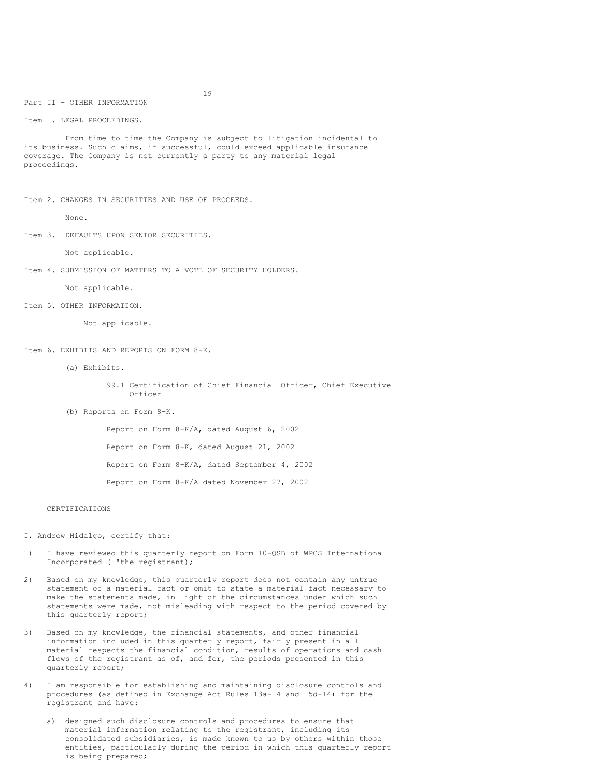Part II - OTHER INFORMATION

Item 1. LEGAL PROCEEDINGS.

From time to time the Company is subject to litigation incidental to its business. Such claims, if successful, could exceed applicable insurance coverage. The Company is not currently a party to any material legal proceedings.

Item 2. CHANGES IN SECURITIES AND USE OF PROCEEDS.

None.

Item 3. DEFAULTS UPON SENIOR SECURITIES.

Not applicable.

Item 4. SUBMISSION OF MATTERS TO A VOTE OF SECURITY HOLDERS.

Not applicable.

Item 5. OTHER INFORMATION.

Not applicable.

Item 6. EXHIBITS AND REPORTS ON FORM 8-K.

(a) Exhibits.

99.1 Certification of Chief Financial Officer, Chief Executive Officer

(b) Reports on Form 8-K.

Report on Form 8-K/A, dated August 6, 2002 Report on Form 8-K, dated August 21, 2002 Report on Form 8-K/A, dated September 4, 2002 Report on Form 8-K/A dated November 27, 2002

## CERTIFICATIONS

I, Andrew Hidalgo, certify that:

- 1) I have reviewed this quarterly report on Form 10-QSB of WPCS International Incorporated ( "the registrant);
- 2) Based on my knowledge, this quarterly report does not contain any untrue statement of a material fact or omit to state a material fact necessary to make the statements made, in light of the circumstances under which such statements were made, not misleading with respect to the period covered by this quarterly report;
- 3) Based on my knowledge, the financial statements, and other financial information included in this quarterly report, fairly present in all material respects the financial condition, results of operations and cash flows of the registrant as of, and for, the periods presented in this quarterly report;
- 4) I am responsible for establishing and maintaining disclosure controls and procedures (as defined in Exchange Act Rules 13a-14 and 15d-14) for the registrant and have:
	- a) designed such disclosure controls and procedures to ensure that material information relating to the registrant, including its consolidated subsidiaries, is made known to us by others within those entities, particularly during the period in which this quarterly report is being prepared;

19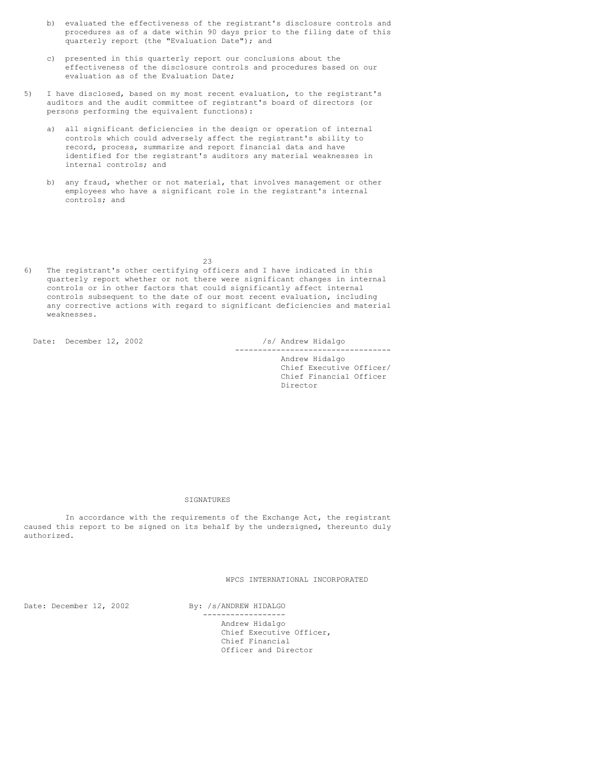- b) evaluated the effectiveness of the registrant's disclosure controls and procedures as of a date within 90 days prior to the filing date of this quarterly report (the "Evaluation Date"); and
- c) presented in this quarterly report our conclusions about the effectiveness of the disclosure controls and procedures based on our evaluation as of the Evaluation Date;
- 5) I have disclosed, based on my most recent evaluation, to the registrant's auditors and the audit committee of registrant's board of directors (or persons performing the equivalent functions):
	- a) all significant deficiencies in the design or operation of internal controls which could adversely affect the registrant's ability to record, process, summarize and report financial data and have identified for the registrant's auditors any material weaknesses in internal controls; and
	- b) any fraud, whether or not material, that involves management or other employees who have a significant role in the registrant's internal controls; and

23

6) The registrant's other certifying officers and I have indicated in this quarterly report whether or not there were significant changes in internal controls or in other factors that could significantly affect internal controls subsequent to the date of our most recent evaluation, including any corrective actions with regard to significant deficiencies and material weaknesses.

Date: December 12, 2002 /s/ Andrew Hidalgo

---------------------------------- Andrew Hidalgo Chief Executive Officer/ Chief Financial Officer Director

SIGNATURES

In accordance with the requirements of the Exchange Act, the registrant caused this report to be signed on its behalf by the undersigned, thereunto duly authorized.

WPCS INTERNATIONAL INCORPORATED

Date: December 12, 2002 By: /s/ANDREW HIDALGO

------------------ Andrew Hidalgo Chief Executive Officer, Chief Financial Officer and Director